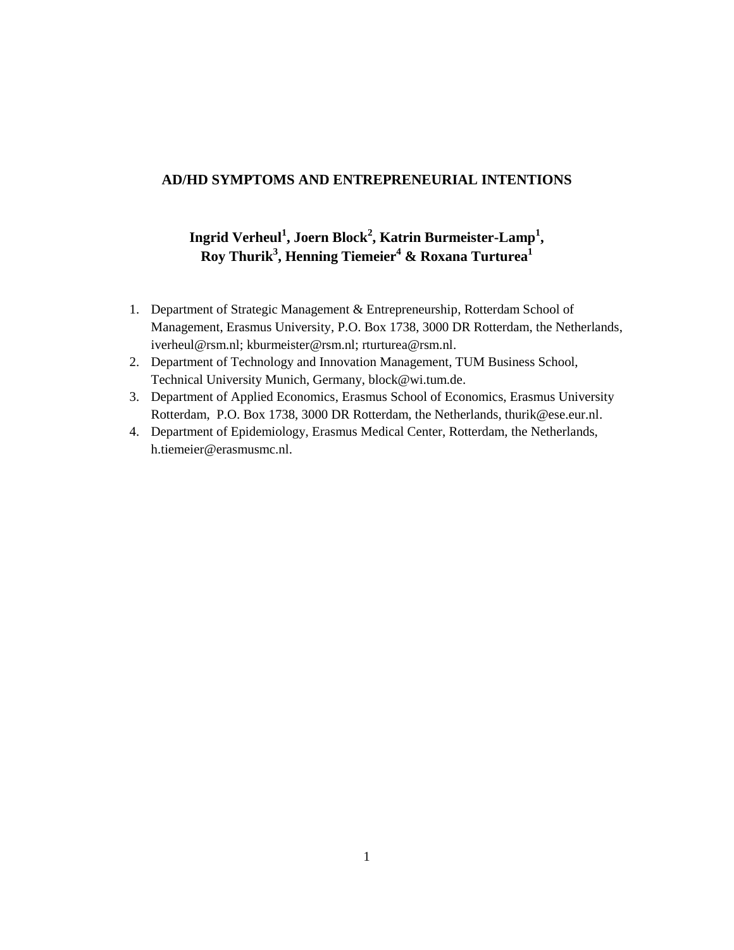# **AD/HD SYMPTOMS AND ENTREPRENEURIAL INTENTIONS**

**Ingrid Verheul<sup>1</sup> , Joern Block<sup>2</sup> , Katrin Burmeister-Lamp<sup>1</sup> , Roy Thurik<sup>3</sup> , Henning Tiemeier<sup>4</sup> & Roxana Turturea<sup>1</sup>**

- 1. Department of Strategic Management & Entrepreneurship, Rotterdam School of Management, Erasmus University, P.O. Box 1738, 3000 DR Rotterdam, the Netherlands, iverheul@rsm.nl; kburmeister@rsm.nl; rturturea@rsm.nl.
- 2. Department of Technology and Innovation Management, TUM Business School, Technical University Munich, Germany, block@wi.tum.de.
- 3. Department of Applied Economics, Erasmus School of Economics, Erasmus University Rotterdam, P.O. Box 1738, 3000 DR Rotterdam, the Netherlands, thurik@ese.eur.nl.
- 4. Department of Epidemiology, Erasmus Medical Center, Rotterdam, the Netherlands, [h.tiemeier@erasmusmc.nl.](mailto:h.tiemeier@erasmusmc.nl)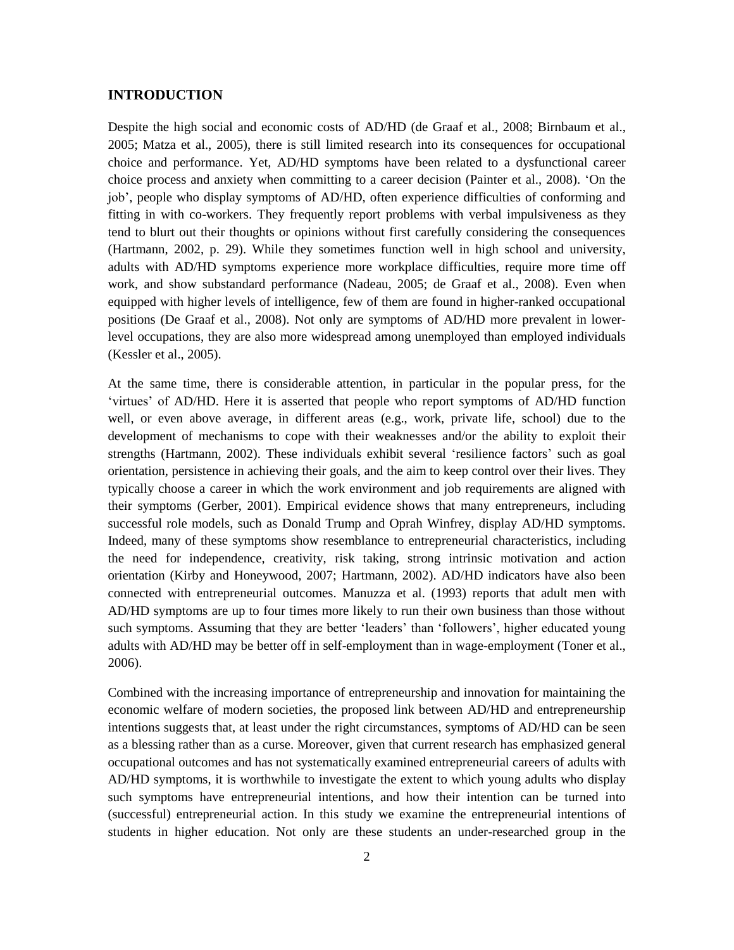## **INTRODUCTION**

Despite the high social and economic costs of AD/HD (de Graaf et al., 2008; Birnbaum et al., 2005; Matza et al., 2005), there is still limited research into its consequences for occupational choice and performance. Yet, AD/HD symptoms have been related to a dysfunctional career choice process and anxiety when committing to a career decision (Painter et al., 2008). 'On the job', people who display symptoms of AD/HD, often experience difficulties of conforming and fitting in with co-workers. They frequently report problems with verbal impulsiveness as they tend to blurt out their thoughts or opinions without first carefully considering the consequences (Hartmann, 2002, p. 29). While they sometimes function well in high school and university, adults with AD/HD symptoms experience more workplace difficulties, require more time off work, and show substandard performance (Nadeau, 2005; de Graaf et al., 2008). Even when equipped with higher levels of intelligence, few of them are found in higher-ranked occupational positions (De Graaf et al., 2008). Not only are symptoms of AD/HD more prevalent in lowerlevel occupations, they are also more widespread among unemployed than employed individuals (Kessler et al., 2005).

At the same time, there is considerable attention, in particular in the popular press, for the 'virtues' of AD/HD. Here it is asserted that people who report symptoms of AD/HD function well, or even above average, in different areas (e.g., work, private life, school) due to the development of mechanisms to cope with their weaknesses and/or the ability to exploit their strengths (Hartmann, 2002). These individuals exhibit several 'resilience factors' such as goal orientation, persistence in achieving their goals, and the aim to keep control over their lives. They typically choose a career in which the work environment and job requirements are aligned with their symptoms (Gerber, 2001). Empirical evidence shows that many entrepreneurs, including successful role models, such as Donald Trump and Oprah Winfrey, display AD/HD symptoms. Indeed, many of these symptoms show resemblance to entrepreneurial characteristics, including the need for independence, creativity, risk taking, strong intrinsic motivation and action orientation (Kirby and Honeywood, 2007; Hartmann, 2002). AD/HD indicators have also been connected with entrepreneurial outcomes. Manuzza et al. (1993) reports that adult men with AD/HD symptoms are up to four times more likely to run their own business than those without such symptoms. Assuming that they are better 'leaders' than 'followers', higher educated young adults with AD/HD may be better off in self-employment than in wage-employment (Toner et al., 2006).

Combined with the increasing importance of entrepreneurship and innovation for maintaining the economic welfare of modern societies, the proposed link between AD/HD and entrepreneurship intentions suggests that, at least under the right circumstances, symptoms of AD/HD can be seen as a blessing rather than as a curse. Moreover, given that current research has emphasized general occupational outcomes and has not systematically examined entrepreneurial careers of adults with AD/HD symptoms, it is worthwhile to investigate the extent to which young adults who display such symptoms have entrepreneurial intentions, and how their intention can be turned into (successful) entrepreneurial action. In this study we examine the entrepreneurial intentions of students in higher education. Not only are these students an under-researched group in the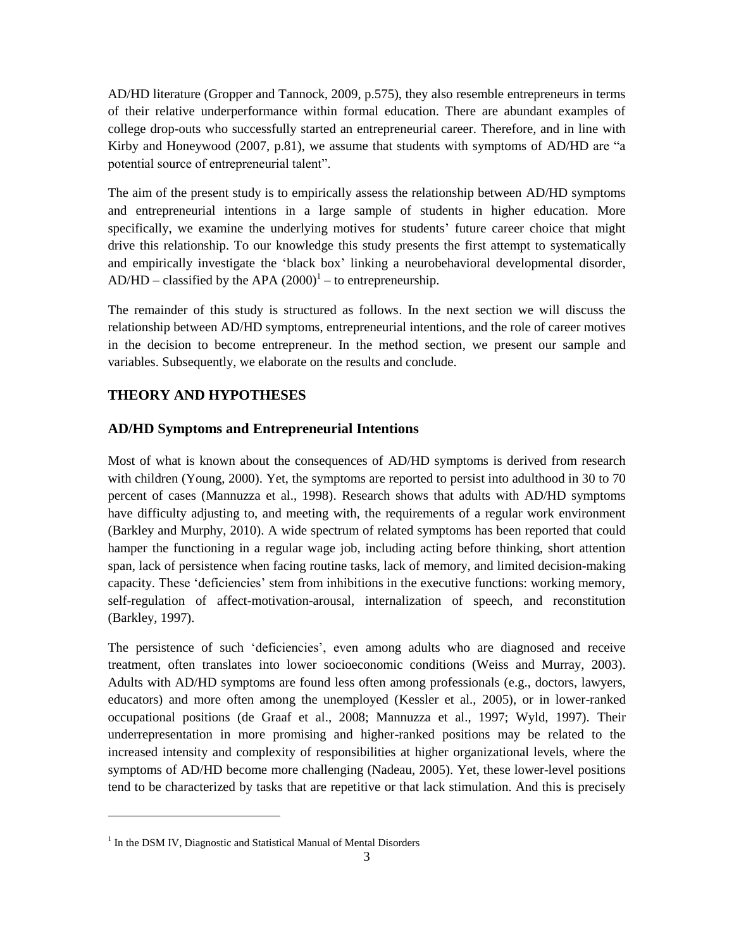AD/HD literature (Gropper and Tannock, 2009, p.575), they also resemble entrepreneurs in terms of their relative underperformance within formal education. There are abundant examples of college drop-outs who successfully started an entrepreneurial career. Therefore, and in line with Kirby and Honeywood (2007, p.81), we assume that students with symptoms of AD/HD are "a potential source of entrepreneurial talent".

The aim of the present study is to empirically assess the relationship between AD/HD symptoms and entrepreneurial intentions in a large sample of students in higher education. More specifically, we examine the underlying motives for students' future career choice that might drive this relationship. To our knowledge this study presents the first attempt to systematically and empirically investigate the 'black box' linking a neurobehavioral developmental disorder,  $AD/HD - classified by the APA (2000)<sup>1</sup> – to enterpreneurship.$ 

The remainder of this study is structured as follows. In the next section we will discuss the relationship between AD/HD symptoms, entrepreneurial intentions, and the role of career motives in the decision to become entrepreneur. In the method section, we present our sample and variables. Subsequently, we elaborate on the results and conclude.

## **THEORY AND HYPOTHESES**

#### **AD/HD Symptoms and Entrepreneurial Intentions**

Most of what is known about the consequences of AD/HD symptoms is derived from research with children (Young, 2000). Yet, the symptoms are reported to persist into adulthood in 30 to 70 percent of cases (Mannuzza et al., 1998). Research shows that adults with AD/HD symptoms have difficulty adjusting to, and meeting with, the requirements of a regular work environment (Barkley and Murphy, 2010). A wide spectrum of related symptoms has been reported that could hamper the functioning in a regular wage job, including acting before thinking, short attention span, lack of persistence when facing routine tasks, lack of memory, and limited decision-making capacity. These 'deficiencies' stem from inhibitions in the executive functions: working memory, self-regulation of affect-motivation-arousal, internalization of speech, and reconstitution (Barkley, 1997).

The persistence of such 'deficiencies', even among adults who are diagnosed and receive treatment, often translates into lower socioeconomic conditions (Weiss and Murray, 2003). Adults with AD/HD symptoms are found less often among professionals (e.g., doctors, lawyers, educators) and more often among the unemployed (Kessler et al., 2005), or in lower-ranked occupational positions (de Graaf et al., 2008; Mannuzza et al., 1997; Wyld, 1997). Their underrepresentation in more promising and higher-ranked positions may be related to the increased intensity and complexity of responsibilities at higher organizational levels, where the symptoms of AD/HD become more challenging (Nadeau, 2005). Yet, these lower-level positions tend to be characterized by tasks that are repetitive or that lack stimulation. And this is precisely

l

<sup>&</sup>lt;sup>1</sup> In the DSM IV, Diagnostic and Statistical Manual of Mental Disorders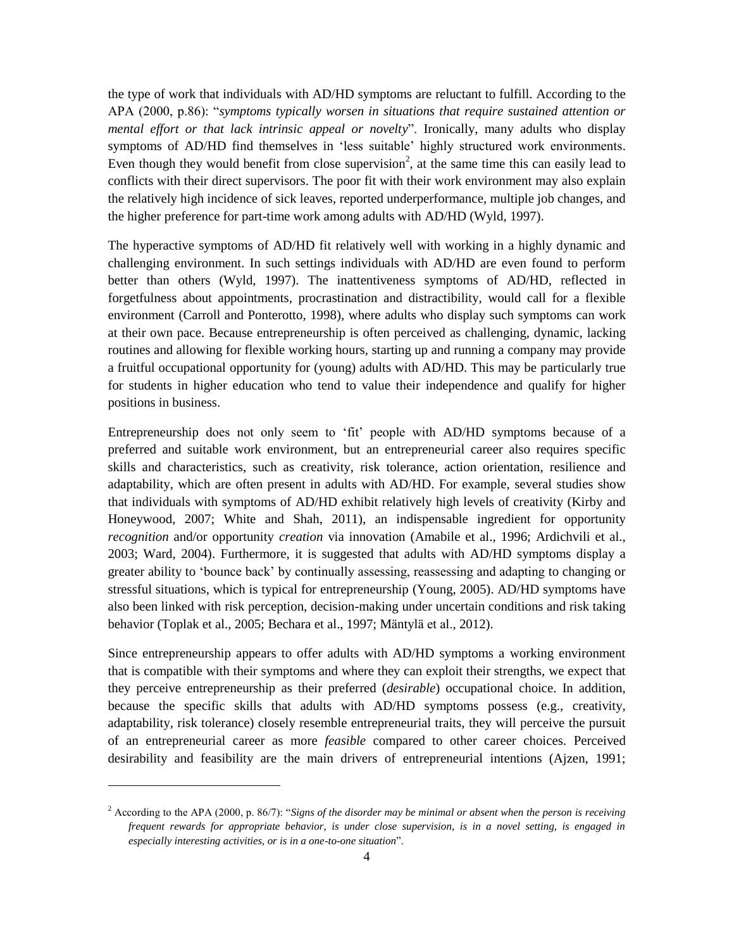the type of work that individuals with AD/HD symptoms are reluctant to fulfill. According to the APA (2000, p.86): "*symptoms typically worsen in situations that require sustained attention or mental effort or that lack intrinsic appeal or novelty*". Ironically, many adults who display symptoms of AD/HD find themselves in 'less suitable' highly structured work environments. Even though they would benefit from close supervision<sup>2</sup>, at the same time this can easily lead to conflicts with their direct supervisors. The poor fit with their work environment may also explain the relatively high incidence of sick leaves, reported underperformance, multiple job changes, and the higher preference for part-time work among adults with AD/HD (Wyld, 1997).

The hyperactive symptoms of AD/HD fit relatively well with working in a highly dynamic and challenging environment. In such settings individuals with AD/HD are even found to perform better than others (Wyld, 1997). The inattentiveness symptoms of AD/HD, reflected in forgetfulness about appointments, procrastination and distractibility, would call for a flexible environment (Carroll and Ponterotto, 1998), where adults who display such symptoms can work at their own pace. Because entrepreneurship is often perceived as challenging, dynamic, lacking routines and allowing for flexible working hours, starting up and running a company may provide a fruitful occupational opportunity for (young) adults with AD/HD. This may be particularly true for students in higher education who tend to value their independence and qualify for higher positions in business.

Entrepreneurship does not only seem to 'fit' people with AD/HD symptoms because of a preferred and suitable work environment, but an entrepreneurial career also requires specific skills and characteristics, such as creativity, risk tolerance, action orientation, resilience and adaptability, which are often present in adults with AD/HD. For example, several studies show that individuals with symptoms of AD/HD exhibit relatively high levels of creativity (Kirby and Honeywood, 2007; White and Shah, 2011), an indispensable ingredient for opportunity *recognition* and/or opportunity *creation* via innovation (Amabile et al., 1996; Ardichvili et al., 2003; Ward, 2004). Furthermore, it is suggested that adults with AD/HD symptoms display a greater ability to 'bounce back' by continually assessing, reassessing and adapting to changing or stressful situations, which is typical for entrepreneurship (Young, 2005). AD/HD symptoms have also been linked with risk perception, decision-making under uncertain conditions and risk taking behavior (Toplak et al., 2005; Bechara et al., 1997; Mäntylä et al., 2012).

Since entrepreneurship appears to offer adults with AD/HD symptoms a working environment that is compatible with their symptoms and where they can exploit their strengths, we expect that they perceive entrepreneurship as their preferred (*desirable*) occupational choice. In addition, because the specific skills that adults with AD/HD symptoms possess (e.g., creativity, adaptability, risk tolerance) closely resemble entrepreneurial traits, they will perceive the pursuit of an entrepreneurial career as more *feasible* compared to other career choices. Perceived desirability and feasibility are the main drivers of entrepreneurial intentions (Ajzen, 1991;

l

<sup>2</sup> According to the APA (2000, p. 86/7): "*Signs of the disorder may be minimal or absent when the person is receiving frequent rewards for appropriate behavior, is under close supervision, is in a novel setting, is engaged in especially interesting activities, or is in a one-to-one situation*".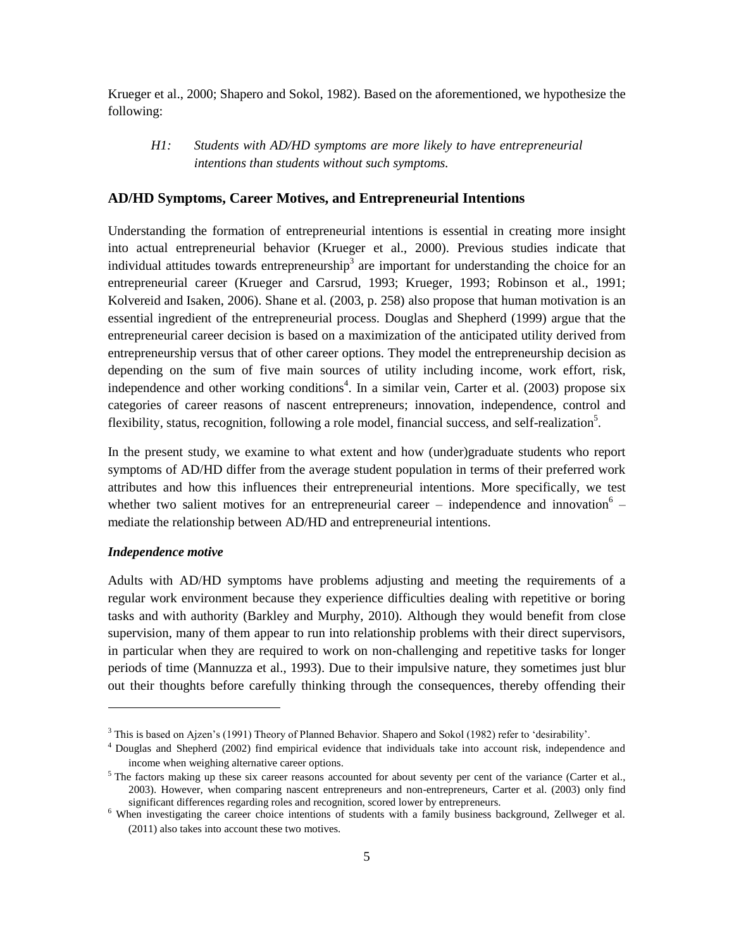Krueger et al., 2000; Shapero and Sokol, 1982). Based on the aforementioned, we hypothesize the following:

*H1: Students with AD/HD symptoms are more likely to have entrepreneurial intentions than students without such symptoms.*

#### **AD/HD Symptoms, Career Motives, and Entrepreneurial Intentions**

Understanding the formation of entrepreneurial intentions is essential in creating more insight into actual entrepreneurial behavior (Krueger et al., 2000). Previous studies indicate that individual attitudes towards entrepreneurship<sup>3</sup> are important for understanding the choice for an entrepreneurial career (Krueger and Carsrud, 1993; Krueger, 1993; Robinson et al., 1991; Kolvereid and Isaken, 2006). Shane et al. (2003, p. 258) also propose that human motivation is an essential ingredient of the entrepreneurial process. Douglas and Shepherd (1999) argue that the entrepreneurial career decision is based on a maximization of the anticipated utility derived from entrepreneurship versus that of other career options. They model the entrepreneurship decision as depending on the sum of five main sources of utility including income, work effort, risk, independence and other working conditions<sup>4</sup>. In a similar vein, Carter et al.  $(2003)$  propose six categories of career reasons of nascent entrepreneurs; innovation, independence, control and flexibility, status, recognition, following a role model, financial success, and self-realization<sup>5</sup>.

In the present study, we examine to what extent and how (under)graduate students who report symptoms of AD/HD differ from the average student population in terms of their preferred work attributes and how this influences their entrepreneurial intentions. More specifically, we test whether two salient motives for an entrepreneurial career  $-$  independence and innovation<sup>6</sup>  $$ mediate the relationship between AD/HD and entrepreneurial intentions.

#### *Independence motive*

l

Adults with AD/HD symptoms have problems adjusting and meeting the requirements of a regular work environment because they experience difficulties dealing with repetitive or boring tasks and with authority (Barkley and Murphy, 2010). Although they would benefit from close supervision, many of them appear to run into relationship problems with their direct supervisors, in particular when they are required to work on non-challenging and repetitive tasks for longer periods of time (Mannuzza et al., 1993). Due to their impulsive nature, they sometimes just blur out their thoughts before carefully thinking through the consequences, thereby offending their

 $3$  This is based on Aizen's (1991) Theory of Planned Behavior. Shapero and Sokol (1982) refer to 'desirability'.

<sup>4</sup> Douglas and Shepherd (2002) find empirical evidence that individuals take into account risk, independence and income when weighing alternative career options.

 $<sup>5</sup>$  The factors making up these six career reasons accounted for about seventy per cent of the variance (Carter et al.,</sup> 2003). However, when comparing nascent entrepreneurs and non-entrepreneurs, Carter et al. (2003) only find significant differences regarding roles and recognition, scored lower by entrepreneurs.

<sup>&</sup>lt;sup>6</sup> When investigating the career choice intentions of students with a family business background, Zellweger et al. (2011) also takes into account these two motives.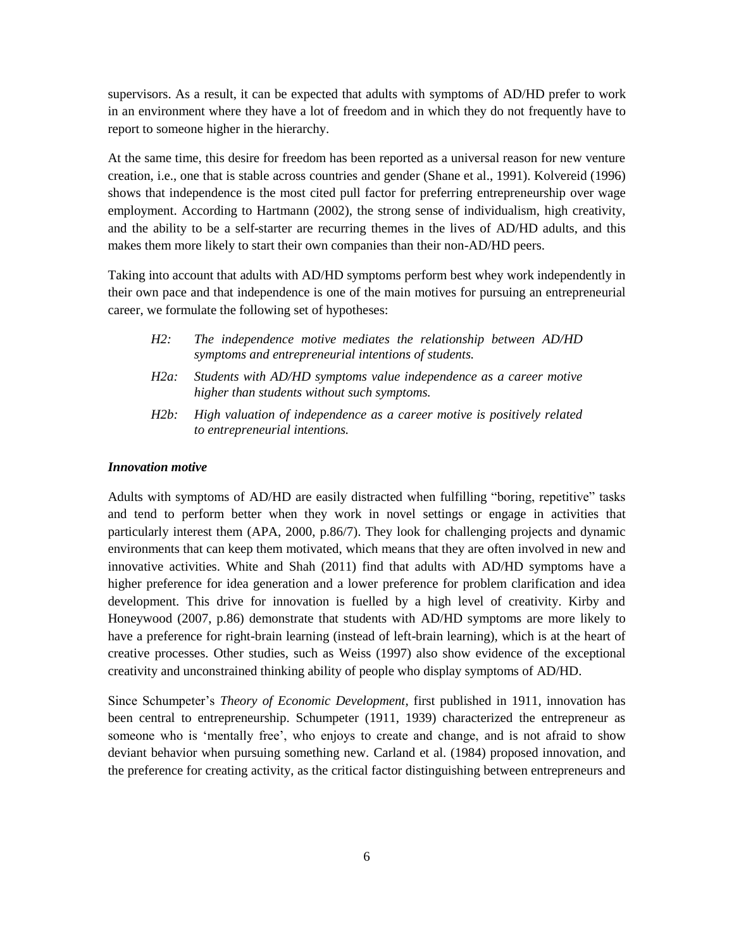supervisors. As a result, it can be expected that adults with symptoms of AD/HD prefer to work in an environment where they have a lot of freedom and in which they do not frequently have to report to someone higher in the hierarchy.

At the same time, this desire for freedom has been reported as a universal reason for new venture creation, i.e., one that is stable across countries and gender (Shane et al., 1991). Kolvereid (1996) shows that independence is the most cited pull factor for preferring entrepreneurship over wage employment. According to Hartmann (2002), the strong sense of individualism, high creativity, and the ability to be a self-starter are recurring themes in the lives of AD/HD adults, and this makes them more likely to start their own companies than their non-AD/HD peers.

Taking into account that adults with AD/HD symptoms perform best whey work independently in their own pace and that independence is one of the main motives for pursuing an entrepreneurial career, we formulate the following set of hypotheses:

| $H2$ :  | The independence motive mediates the relationship between AD/HD<br>symptoms and entrepreneurial intentions of students. |
|---------|-------------------------------------------------------------------------------------------------------------------------|
| $H2a$ : | Students with AD/HD symptoms value independence as a career motive<br>higher than students without such symptoms.       |
| $H2b$ : | High valuation of independence as a career motive is positively related<br>to entrepreneurial intentions.               |

#### *Innovation motive*

Adults with symptoms of AD/HD are easily distracted when fulfilling "boring, repetitive" tasks and tend to perform better when they work in novel settings or engage in activities that particularly interest them (APA, 2000, p.86/7). They look for challenging projects and dynamic environments that can keep them motivated, which means that they are often involved in new and innovative activities. White and Shah (2011) find that adults with AD/HD symptoms have a higher preference for idea generation and a lower preference for problem clarification and idea development. This drive for innovation is fuelled by a high level of creativity. Kirby and Honeywood (2007, p.86) demonstrate that students with AD/HD symptoms are more likely to have a preference for right-brain learning (instead of left-brain learning), which is at the heart of creative processes. Other studies, such as Weiss (1997) also show evidence of the exceptional creativity and unconstrained thinking ability of people who display symptoms of AD/HD.

Since Schumpeter's *Theory of Economic Development*, first published in 1911, innovation has been central to entrepreneurship. Schumpeter (1911, 1939) characterized the entrepreneur as someone who is 'mentally free', who enjoys to create and change, and is not afraid to show deviant behavior when pursuing something new. Carland et al. (1984) proposed innovation, and the preference for creating activity, as the critical factor distinguishing between entrepreneurs and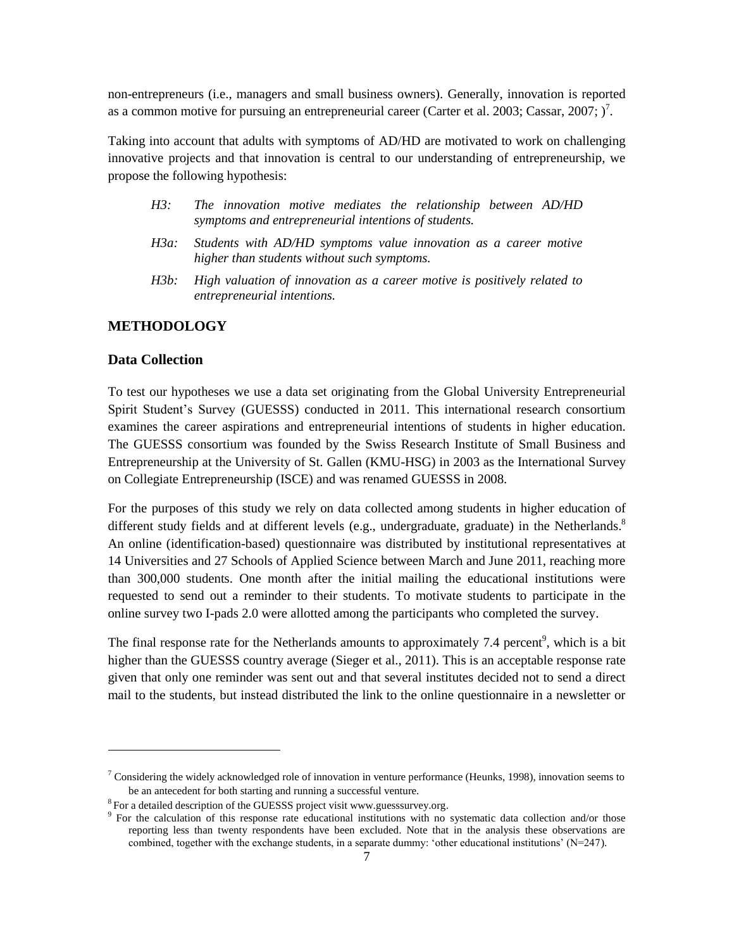non-entrepreneurs (i.e., managers and small business owners). Generally, innovation is reported as a common motive for pursuing an entrepreneurial career (Carter et al. 2003; Cassar, 2007;  $)^7$ .

Taking into account that adults with symptoms of AD/HD are motivated to work on challenging innovative projects and that innovation is central to our understanding of entrepreneurship, we propose the following hypothesis:

- *H3: The innovation motive mediates the relationship between AD/HD symptoms and entrepreneurial intentions of students.*
- *H3a: Students with AD/HD symptoms value innovation as a career motive higher than students without such symptoms.*
- *H3b: High valuation of innovation as a career motive is positively related to entrepreneurial intentions.*

# **METHODOLOGY**

#### **Data Collection**

 $\overline{a}$ 

To test our hypotheses we use a data set originating from the Global University Entrepreneurial Spirit Student's Survey (GUESSS) conducted in 2011. This international research consortium examines the career aspirations and entrepreneurial intentions of students in higher education. The GUESSS consortium was founded by the Swiss Research Institute of Small Business and Entrepreneurship at the University of St. Gallen (KMU-HSG) in 2003 as the International Survey on Collegiate Entrepreneurship (ISCE) and was renamed GUESSS in 2008.

For the purposes of this study we rely on data collected among students in higher education of different study fields and at different levels (e.g., undergraduate, graduate) in the Netherlands.<sup>8</sup> An online (identification-based) questionnaire was distributed by institutional representatives at 14 Universities and 27 Schools of Applied Science between March and June 2011, reaching more than 300,000 students. One month after the initial mailing the educational institutions were requested to send out a reminder to their students. To motivate students to participate in the online survey two I-pads 2.0 were allotted among the participants who completed the survey.

The final response rate for the Netherlands amounts to approximately 7.4 percent<sup>9</sup>, which is a bit higher than the GUESSS country average (Sieger et al., 2011). This is an acceptable response rate given that only one reminder was sent out and that several institutes decided not to send a direct mail to the students, but instead distributed the link to the online questionnaire in a newsletter or

<sup>&</sup>lt;sup>7</sup> Considering the widely acknowledged role of innovation in venture performance (Heunks, 1998), innovation seems to be an antecedent for both starting and running a successful venture.

 $8$  For a detailed description of the GUESSS project visit www.guesssurvey.org.

<sup>9</sup> For the calculation of this response rate educational institutions with no systematic data collection and/or those reporting less than twenty respondents have been excluded. Note that in the analysis these observations are combined, together with the exchange students, in a separate dummy: 'other educational institutions' (N=247).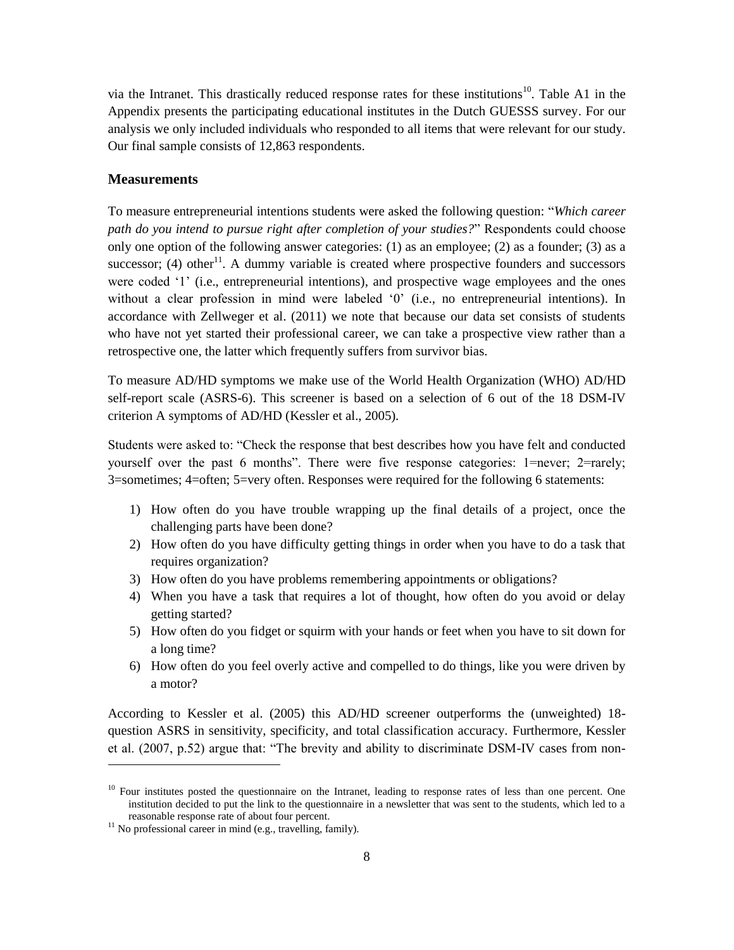via the Intranet. This drastically reduced response rates for these institutions<sup>10</sup>. Table A1 in the Appendix presents the participating educational institutes in the Dutch GUESSS survey. For our analysis we only included individuals who responded to all items that were relevant for our study. Our final sample consists of 12,863 respondents.

#### **Measurements**

To measure entrepreneurial intentions students were asked the following question: "*Which career path do you intend to pursue right after completion of your studies?*" Respondents could choose only one option of the following answer categories: (1) as an employee; (2) as a founder; (3) as a successor; (4) other<sup>11</sup>. A dummy variable is created where prospective founders and successors were coded '1' (i.e., entrepreneurial intentions), and prospective wage employees and the ones without a clear profession in mind were labeled '0' (i.e., no entrepreneurial intentions). In accordance with Zellweger et al. (2011) we note that because our data set consists of students who have not yet started their professional career, we can take a prospective view rather than a retrospective one, the latter which frequently suffers from survivor bias.

To measure AD/HD symptoms we make use of the World Health Organization (WHO) AD/HD self-report scale (ASRS-6). This screener is based on a selection of 6 out of the 18 DSM-IV criterion A symptoms of AD/HD (Kessler et al., 2005).

Students were asked to: "Check the response that best describes how you have felt and conducted yourself over the past 6 months". There were five response categories: 1=never; 2=rarely; 3=sometimes; 4=often; 5=very often. Responses were required for the following 6 statements:

- 1) How often do you have trouble wrapping up the final details of a project, once the challenging parts have been done?
- 2) How often do you have difficulty getting things in order when you have to do a task that requires organization?
- 3) How often do you have problems remembering appointments or obligations?
- 4) When you have a task that requires a lot of thought, how often do you avoid or delay getting started?
- 5) How often do you fidget or squirm with your hands or feet when you have to sit down for a long time?
- 6) How often do you feel overly active and compelled to do things, like you were driven by a motor?

According to Kessler et al. (2005) this AD/HD screener outperforms the (unweighted) 18 question ASRS in sensitivity, specificity, and total classification accuracy. Furthermore, Kessler et al. (2007, p.52) argue that: "The brevity and ability to discriminate DSM-IV cases from non-

l

 $10$  Four institutes posted the questionnaire on the Intranet, leading to response rates of less than one percent. One institution decided to put the link to the questionnaire in a newsletter that was sent to the students, which led to a reasonable response rate of about four percent.

<sup>&</sup>lt;sup>11</sup> No professional career in mind (e.g., travelling, family).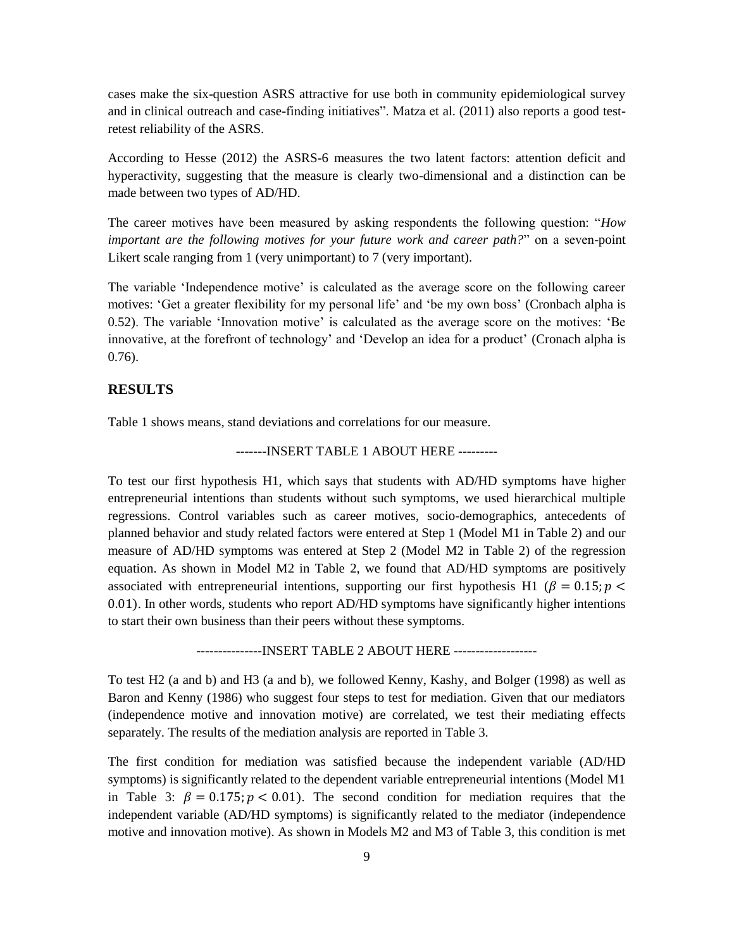cases make the six-question ASRS attractive for use both in community epidemiological survey and in clinical outreach and case-finding initiatives". Matza et al. (2011) also reports a good testretest reliability of the ASRS.

According to Hesse (2012) the ASRS-6 measures the two latent factors: attention deficit and hyperactivity, suggesting that the measure is clearly two-dimensional and a distinction can be made between two types of AD/HD.

The career motives have been measured by asking respondents the following question: "*How important are the following motives for your future work and career path?*" on a seven-point Likert scale ranging from 1 (very unimportant) to 7 (very important).

The variable 'Independence motive' is calculated as the average score on the following career motives: 'Get a greater flexibility for my personal life' and 'be my own boss' (Cronbach alpha is 0.52). The variable 'Innovation motive' is calculated as the average score on the motives: 'Be innovative, at the forefront of technology' and 'Develop an idea for a product' (Cronach alpha is 0.76).

## **RESULTS**

Table 1 shows means, stand deviations and correlations for our measure.

-------INSERT TABLE 1 ABOUT HERE ---------

To test our first hypothesis H1, which says that students with AD/HD symptoms have higher entrepreneurial intentions than students without such symptoms, we used hierarchical multiple regressions. Control variables such as career motives, socio-demographics, antecedents of planned behavior and study related factors were entered at Step 1 (Model M1 in Table 2) and our measure of AD/HD symptoms was entered at Step 2 (Model M2 in Table 2) of the regression equation. As shown in Model M2 in Table 2, we found that AD/HD symptoms are positively associated with entrepreneurial intentions, supporting our first hypothesis H1 ( $\beta = 0.15$ ;  $p <$ 0.01). In other words, students who report AD/HD symptoms have significantly higher intentions to start their own business than their peers without these symptoms.

---------------INSERT TABLE 2 ABOUT HERE -------------------

To test H2 (a and b) and H3 (a and b), we followed Kenny, Kashy, and Bolger (1998) as well as Baron and Kenny (1986) who suggest four steps to test for mediation. Given that our mediators (independence motive and innovation motive) are correlated, we test their mediating effects separately. The results of the mediation analysis are reported in Table 3.

The first condition for mediation was satisfied because the independent variable (AD/HD symptoms) is significantly related to the dependent variable entrepreneurial intentions (Model M1 in Table 3:  $\beta = 0.175$ ;  $p < 0.01$ ). The second condition for mediation requires that the independent variable (AD/HD symptoms) is significantly related to the mediator (independence motive and innovation motive). As shown in Models M2 and M3 of Table 3, this condition is met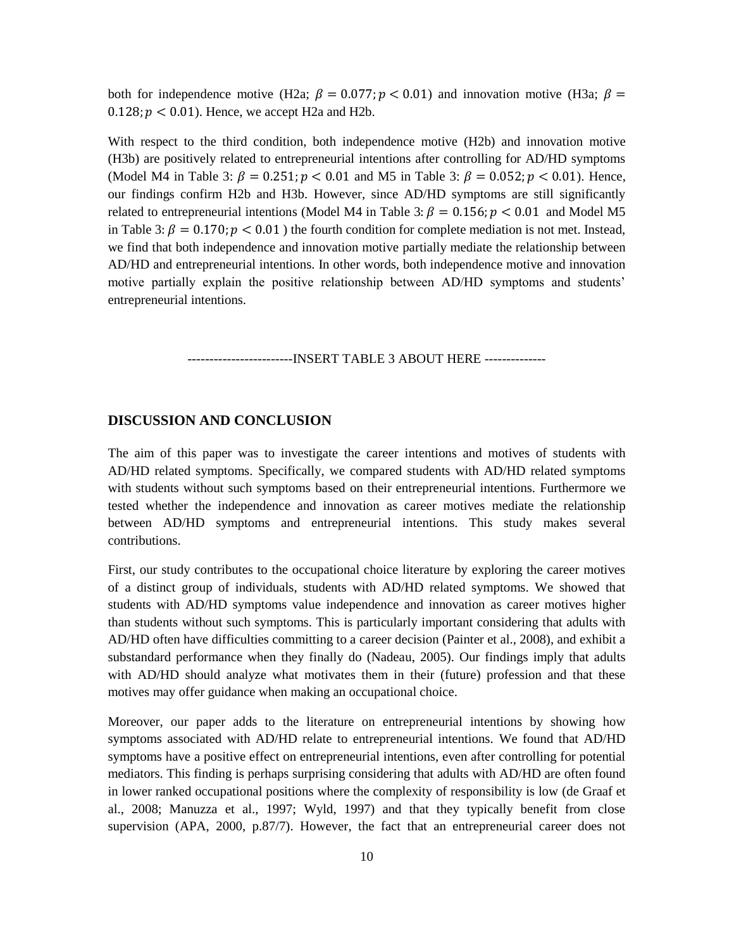both for independence motive (H2a;  $\beta = 0.077$ ;  $p < 0.01$ ) and innovation motive (H3a;  $\beta =$  $0.128$ ;  $p < 0.01$ ). Hence, we accept H2a and H2b.

With respect to the third condition, both independence motive (H2b) and innovation motive (H3b) are positively related to entrepreneurial intentions after controlling for AD/HD symptoms (Model M4 in Table 3:  $\beta = 0.251$ ;  $p < 0.01$  and M5 in Table 3:  $\beta = 0.052$ ;  $p < 0.01$ ). Hence, our findings confirm H2b and H3b. However, since AD/HD symptoms are still significantly related to entrepreneurial intentions (Model M4 in Table 3:  $\beta = 0.156$ ;  $p < 0.01$  and Model M5 in Table 3:  $\beta = 0.170$ ;  $p < 0.01$ ) the fourth condition for complete mediation is not met. Instead, we find that both independence and innovation motive partially mediate the relationship between AD/HD and entrepreneurial intentions. In other words, both independence motive and innovation motive partially explain the positive relationship between AD/HD symptoms and students' entrepreneurial intentions.

------------------------INSERT TABLE 3 ABOUT HERE --------------

#### **DISCUSSION AND CONCLUSION**

The aim of this paper was to investigate the career intentions and motives of students with AD/HD related symptoms. Specifically, we compared students with AD/HD related symptoms with students without such symptoms based on their entrepreneurial intentions. Furthermore we tested whether the independence and innovation as career motives mediate the relationship between AD/HD symptoms and entrepreneurial intentions. This study makes several contributions.

First, our study contributes to the occupational choice literature by exploring the career motives of a distinct group of individuals, students with AD/HD related symptoms. We showed that students with AD/HD symptoms value independence and innovation as career motives higher than students without such symptoms. This is particularly important considering that adults with AD/HD often have difficulties committing to a career decision (Painter et al., 2008), and exhibit a substandard performance when they finally do (Nadeau, 2005). Our findings imply that adults with AD/HD should analyze what motivates them in their (future) profession and that these motives may offer guidance when making an occupational choice.

Moreover, our paper adds to the literature on entrepreneurial intentions by showing how symptoms associated with AD/HD relate to entrepreneurial intentions. We found that AD/HD symptoms have a positive effect on entrepreneurial intentions, even after controlling for potential mediators. This finding is perhaps surprising considering that adults with AD/HD are often found in lower ranked occupational positions where the complexity of responsibility is low (de Graaf et al., 2008; Manuzza et al., 1997; Wyld, 1997) and that they typically benefit from close supervision (APA, 2000, p.87/7). However, the fact that an entrepreneurial career does not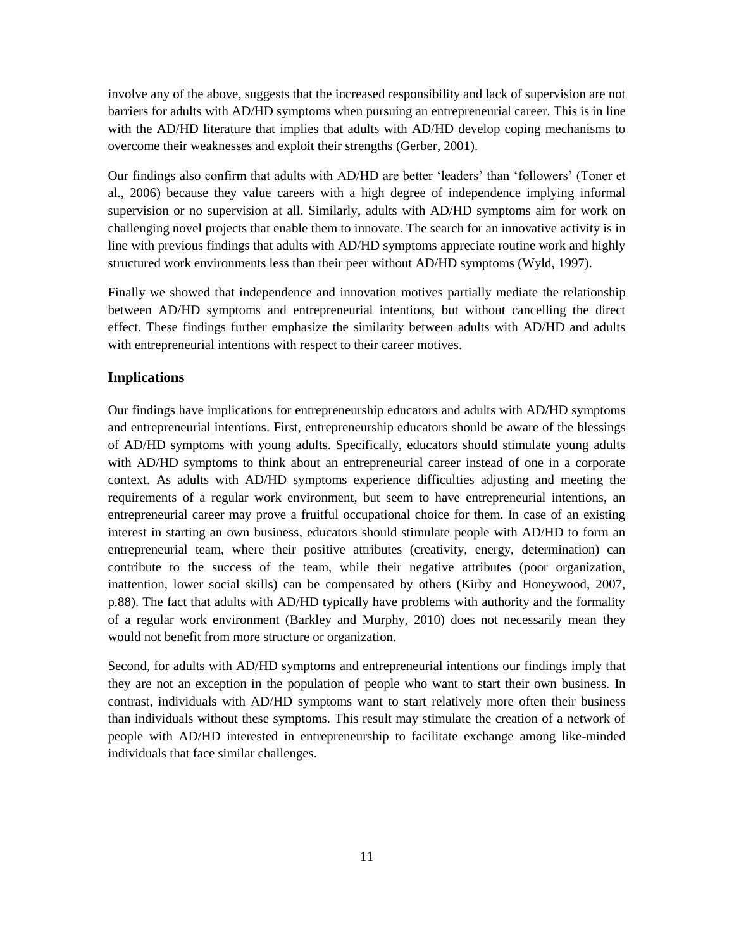involve any of the above, suggests that the increased responsibility and lack of supervision are not barriers for adults with AD/HD symptoms when pursuing an entrepreneurial career. This is in line with the AD/HD literature that implies that adults with AD/HD develop coping mechanisms to overcome their weaknesses and exploit their strengths (Gerber, 2001).

Our findings also confirm that adults with AD/HD are better 'leaders' than 'followers' (Toner et al., 2006) because they value careers with a high degree of independence implying informal supervision or no supervision at all. Similarly, adults with AD/HD symptoms aim for work on challenging novel projects that enable them to innovate. The search for an innovative activity is in line with previous findings that adults with AD/HD symptoms appreciate routine work and highly structured work environments less than their peer without AD/HD symptoms (Wyld, 1997).

Finally we showed that independence and innovation motives partially mediate the relationship between AD/HD symptoms and entrepreneurial intentions, but without cancelling the direct effect. These findings further emphasize the similarity between adults with AD/HD and adults with entrepreneurial intentions with respect to their career motives.

#### **Implications**

Our findings have implications for entrepreneurship educators and adults with AD/HD symptoms and entrepreneurial intentions. First, entrepreneurship educators should be aware of the blessings of AD/HD symptoms with young adults. Specifically, educators should stimulate young adults with AD/HD symptoms to think about an entrepreneurial career instead of one in a corporate context. As adults with AD/HD symptoms experience difficulties adjusting and meeting the requirements of a regular work environment, but seem to have entrepreneurial intentions, an entrepreneurial career may prove a fruitful occupational choice for them. In case of an existing interest in starting an own business, educators should stimulate people with AD/HD to form an entrepreneurial team, where their positive attributes (creativity, energy, determination) can contribute to the success of the team, while their negative attributes (poor organization, inattention, lower social skills) can be compensated by others (Kirby and Honeywood, 2007, p.88). The fact that adults with AD/HD typically have problems with authority and the formality of a regular work environment (Barkley and Murphy, 2010) does not necessarily mean they would not benefit from more structure or organization.

Second, for adults with AD/HD symptoms and entrepreneurial intentions our findings imply that they are not an exception in the population of people who want to start their own business. In contrast, individuals with AD/HD symptoms want to start relatively more often their business than individuals without these symptoms. This result may stimulate the creation of a network of people with AD/HD interested in entrepreneurship to facilitate exchange among like-minded individuals that face similar challenges.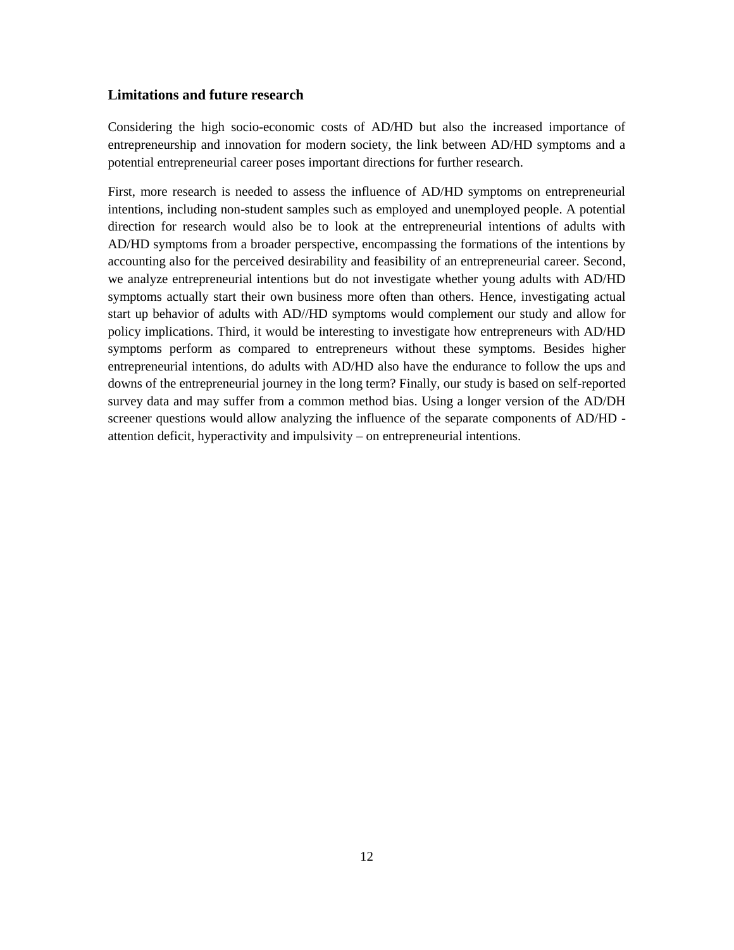#### **Limitations and future research**

Considering the high socio-economic costs of AD/HD but also the increased importance of entrepreneurship and innovation for modern society, the link between AD/HD symptoms and a potential entrepreneurial career poses important directions for further research.

First, more research is needed to assess the influence of AD/HD symptoms on entrepreneurial intentions, including non-student samples such as employed and unemployed people. A potential direction for research would also be to look at the entrepreneurial intentions of adults with AD/HD symptoms from a broader perspective, encompassing the formations of the intentions by accounting also for the perceived desirability and feasibility of an entrepreneurial career. Second, we analyze entrepreneurial intentions but do not investigate whether young adults with AD/HD symptoms actually start their own business more often than others. Hence, investigating actual start up behavior of adults with AD//HD symptoms would complement our study and allow for policy implications. Third, it would be interesting to investigate how entrepreneurs with AD/HD symptoms perform as compared to entrepreneurs without these symptoms. Besides higher entrepreneurial intentions, do adults with AD/HD also have the endurance to follow the ups and downs of the entrepreneurial journey in the long term? Finally, our study is based on self-reported survey data and may suffer from a common method bias. Using a longer version of the AD/DH screener questions would allow analyzing the influence of the separate components of AD/HD attention deficit, hyperactivity and impulsivity – on entrepreneurial intentions.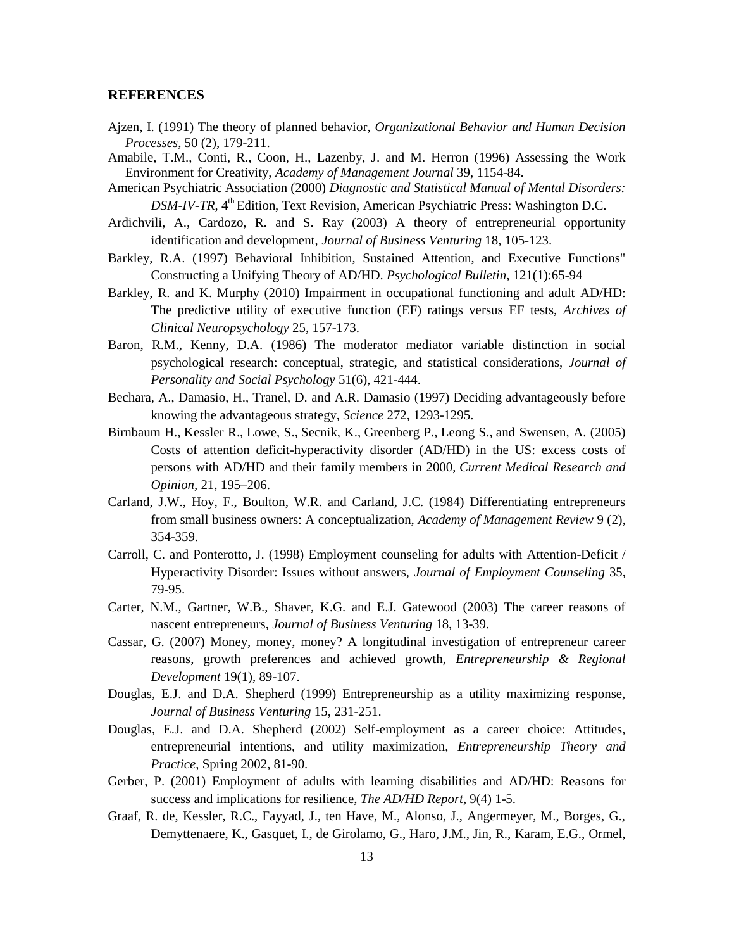#### **REFERENCES**

- Ajzen, I. (1991) The theory of planned behavior, *Organizational Behavior and Human Decision Processes*, 50 (2), 179-211.
- Amabile, T.M., Conti, R., Coon, H., Lazenby, J. and M. Herron (1996) Assessing the Work Environment for Creativity, *Academy of Management Journal* 39, 1154-84.
- American Psychiatric Association (2000) *Diagnostic and Statistical Manual of Mental Disorders: DSM-IV-TR*, 4<sup>th</sup> Edition, Text Revision, American Psychiatric Press: Washington D.C.
- Ardichvili, A., Cardozo, R. and S. Ray (2003) A theory of entrepreneurial opportunity identification and development, *Journal of Business Venturing* 18, 105-123.
- Barkley, R.A. (1997) Behavioral Inhibition, Sustained Attention, and Executive Functions" Constructing a Unifying Theory of AD/HD. *Psychological Bulletin*, 121(1):65-94
- Barkley, R. and K. Murphy (2010) Impairment in occupational functioning and adult AD/HD: The predictive utility of executive function (EF) ratings versus EF tests, *Archives of Clinical Neuropsychology* 25, 157-173.
- Baron, R.M., Kenny, D.A. (1986) The moderator mediator variable distinction in social psychological research: conceptual, strategic, and statistical considerations, *Journal of Personality and Social Psychology* 51(6), 421-444.
- Bechara, A., Damasio, H., Tranel, D. and A.R. Damasio (1997) Deciding advantageously before knowing the advantageous strategy, *Science* 272, 1293-1295.
- Birnbaum H., Kessler R., Lowe, S., Secnik, K., Greenberg P., Leong S., and Swensen, A. (2005) Costs of attention deficit-hyperactivity disorder (AD/HD) in the US: excess costs of persons with AD/HD and their family members in 2000, *Current Medical Research and Opinion,* 21, 195–206.
- Carland, J.W., Hoy, F., Boulton, W.R. and Carland, J.C. (1984) Differentiating entrepreneurs from small business owners: A conceptualization, *Academy of Management Review* 9 (2), 354-359.
- Carroll, C. and Ponterotto, J. (1998) Employment counseling for adults with Attention-Deficit / Hyperactivity Disorder: Issues without answers, *Journal of Employment Counseling* 35, 79-95.
- Carter, N.M., Gartner, W.B., Shaver, K.G. and E.J. Gatewood (2003) The career reasons of nascent entrepreneurs, *Journal of Business Venturing* 18, 13-39.
- Cassar, G. (2007) Money, money, money? A longitudinal investigation of entrepreneur career reasons, growth preferences and achieved growth, *Entrepreneurship & Regional Development* 19(1), 89-107.
- Douglas, E.J. and D.A. Shepherd (1999) Entrepreneurship as a utility maximizing response, *Journal of Business Venturing* 15, 231-251.
- Douglas, E.J. and D.A. Shepherd (2002) Self-employment as a career choice: Attitudes, entrepreneurial intentions, and utility maximization, *Entrepreneurship Theory and Practice*, Spring 2002, 81-90.
- Gerber, P. (2001) Employment of adults with learning disabilities and AD/HD: Reasons for success and implications for resilience, *The AD/HD Report*, 9(4) 1-5.
- Graaf, R. de, Kessler, R.C., Fayyad, J., ten Have, M., Alonso, J., Angermeyer, M., Borges, G., Demyttenaere, K., Gasquet, I., de Girolamo, G., Haro, J.M., Jin, R., Karam, E.G., Ormel,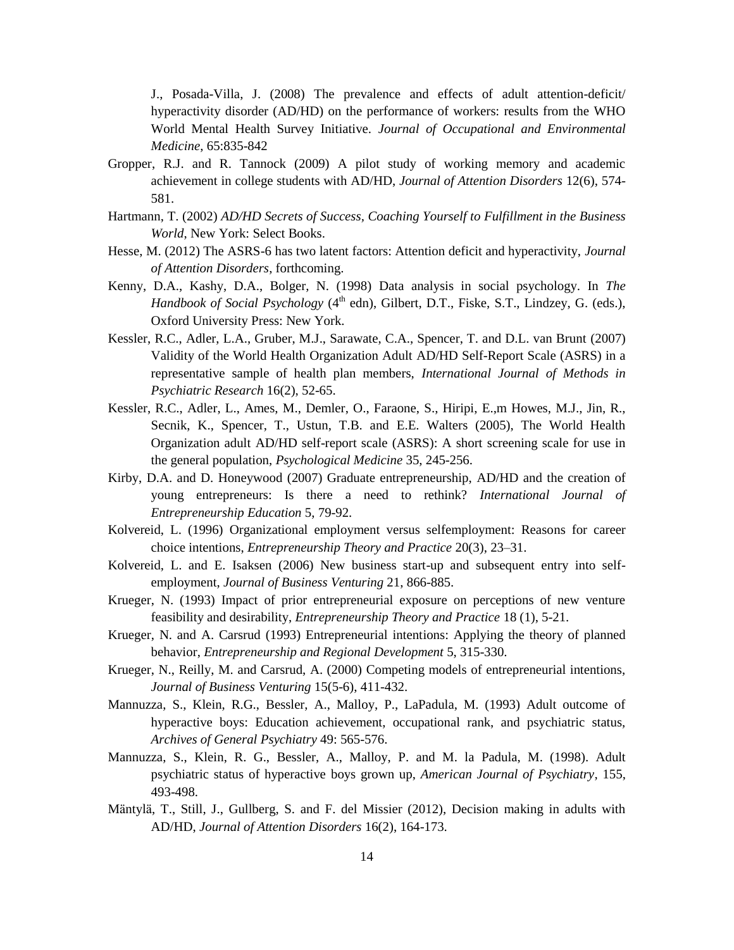J., Posada-Villa, J. (2008) The prevalence and effects of adult attention-deficit/ hyperactivity disorder (AD/HD) on the performance of workers: results from the WHO World Mental Health Survey Initiative. *Journal of Occupational and Environmental Medicine*, 65:835-842

- Gropper, R.J. and R. Tannock (2009) A pilot study of working memory and academic achievement in college students with AD/HD, *Journal of Attention Disorders* 12(6), 574- 581.
- Hartmann, T. (2002) *AD/HD Secrets of Success, Coaching Yourself to Fulfillment in the Business World*, New York: Select Books.
- Hesse, M. (2012) The ASRS-6 has two latent factors: Attention deficit and hyperactivity, *Journal of Attention Disorders*, forthcoming.
- Kenny, D.A., Kashy, D.A., Bolger, N. (1998) Data analysis in social psychology. In *The Handbook of Social Psychology* (4<sup>th</sup> edn), Gilbert, D.T., Fiske, S.T., Lindzey, G. (eds.), Oxford University Press: New York.
- Kessler, R.C., Adler, L.A., Gruber, M.J., Sarawate, C.A., Spencer, T. and D.L. van Brunt (2007) Validity of the World Health Organization Adult AD/HD Self-Report Scale (ASRS) in a representative sample of health plan members, *International Journal of Methods in Psychiatric Research* 16(2), 52-65.
- Kessler, R.C., Adler, L., Ames, M., Demler, O., Faraone, S., Hiripi, E.,m Howes, M.J., Jin, R., Secnik, K., Spencer, T., Ustun, T.B. and E.E. Walters (2005), The World Health Organization adult AD/HD self-report scale (ASRS): A short screening scale for use in the general population, *Psychological Medicine* 35, 245-256.
- Kirby, D.A. and D. Honeywood (2007) Graduate entrepreneurship, AD/HD and the creation of young entrepreneurs: Is there a need to rethink? *International Journal of Entrepreneurship Education* 5, 79-92.
- Kolvereid, L. (1996) Organizational employment versus selfemployment: Reasons for career choice intentions, *Entrepreneurship Theory and Practice* 20(3), 23–31.
- Kolvereid, L. and E. Isaksen (2006) New business start-up and subsequent entry into selfemployment, *Journal of Business Venturing* 21, 866-885.
- Krueger, N. (1993) Impact of prior entrepreneurial exposure on perceptions of new venture feasibility and desirability, *Entrepreneurship Theory and Practice* 18 (1), 5-21.
- Krueger, N. and A. Carsrud (1993) Entrepreneurial intentions: Applying the theory of planned behavior, *Entrepreneurship and Regional Development* 5, 315-330.
- Krueger, N., Reilly, M. and Carsrud, A. (2000) Competing models of entrepreneurial intentions, *Journal of Business Venturing* 15(5-6), 411-432.
- Mannuzza, S., Klein, R.G., Bessler, A., Malloy, P., LaPadula, M. (1993) Adult outcome of hyperactive boys: Education achievement, occupational rank, and psychiatric status, *Archives of General Psychiatry* 49: 565-576.
- Mannuzza, S., Klein, R. G., Bessler, A., Malloy, P. and M. la Padula, M. (1998). Adult psychiatric status of hyperactive boys grown up, *American Journal of Psychiatry*, 155, 493-498.
- Mäntylä, T., Still, J., Gullberg, S. and F. del Missier (2012), Decision making in adults with AD/HD, *Journal of Attention Disorders* 16(2), 164-173.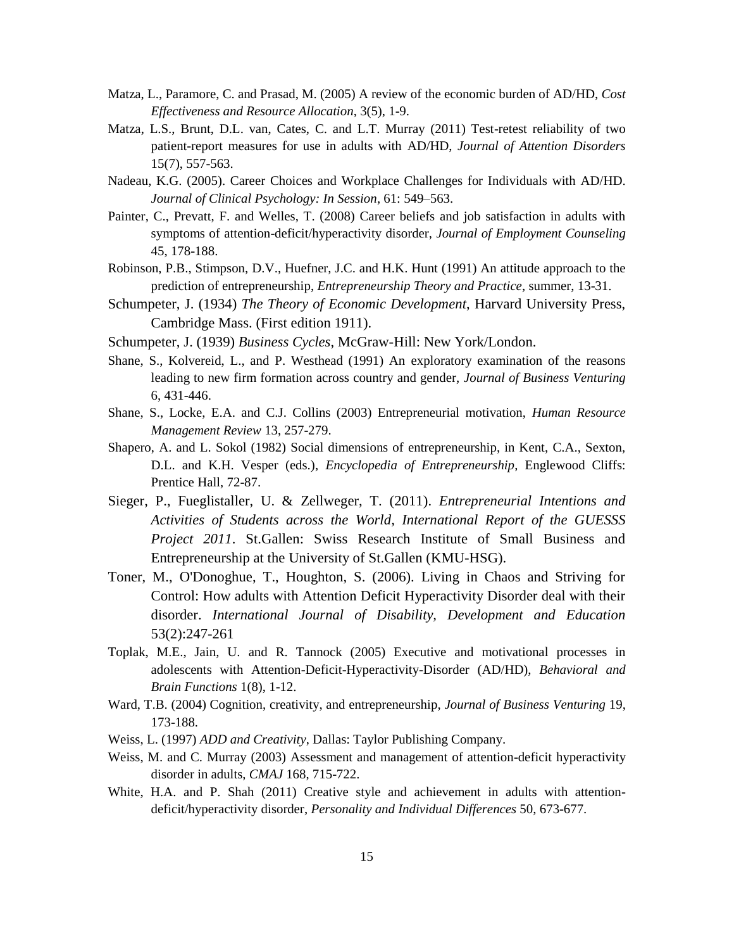- Matza, L., Paramore, C. and Prasad, M. (2005) A review of the economic burden of AD/HD, *Cost Effectiveness and Resource Allocation*, 3(5), 1-9.
- Matza, L.S., Brunt, D.L. van, Cates, C. and L.T. Murray (2011) Test-retest reliability of two patient-report measures for use in adults with AD/HD, *Journal of Attention Disorders* 15(7), 557-563.
- Nadeau, K.G. (2005). Career Choices and Workplace Challenges for Individuals with AD/HD. *Journal of Clinical Psychology: In Session*, 61: 549–563.
- Painter, C., Prevatt, F. and Welles, T. (2008) Career beliefs and job satisfaction in adults with symptoms of attention-deficit/hyperactivity disorder, *Journal of Employment Counseling* 45, 178-188.
- Robinson, P.B., Stimpson, D.V., Huefner, J.C. and H.K. Hunt (1991) An attitude approach to the prediction of entrepreneurship, *Entrepreneurship Theory and Practice*, summer, 13-31.
- Schumpeter, J. (1934) *The Theory of Economic Development*, Harvard University Press, Cambridge Mass. (First edition 1911).
- Schumpeter, J. (1939) *Business Cycles*, McGraw-Hill: New York/London.
- Shane, S., Kolvereid, L., and P. Westhead (1991) An exploratory examination of the reasons leading to new firm formation across country and gender, *Journal of Business Venturing* 6, 431-446.
- Shane, S., Locke, E.A. and C.J. Collins (2003) Entrepreneurial motivation, *Human Resource Management Review* 13, 257-279.
- Shapero, A. and L. Sokol (1982) Social dimensions of entrepreneurship, in Kent, C.A., Sexton, D.L. and K.H. Vesper (eds.), *Encyclopedia of Entrepreneurship*, Englewood Cliffs: Prentice Hall, 72-87.
- Sieger, P., Fueglistaller, U. & Zellweger, T. (2011). *Entrepreneurial Intentions and Activities of Students across the World, International Report of the GUESSS Project 2011*. St.Gallen: Swiss Research Institute of Small Business and Entrepreneurship at the University of St.Gallen (KMU-HSG).
- Toner, M., O'Donoghue, T., Houghton, S. (2006). Living in Chaos and Striving for Control: How adults with Attention Deficit Hyperactivity Disorder deal with their disorder. *International Journal of Disability, Development and Education*  53(2):247-261
- Toplak, M.E., Jain, U. and R. Tannock (2005) Executive and motivational processes in adolescents with Attention-Deficit-Hyperactivity-Disorder (AD/HD), *Behavioral and Brain Functions* 1(8), 1-12.
- Ward, T.B. (2004) Cognition, creativity, and entrepreneurship, *Journal of Business Venturing* 19, 173-188.
- Weiss, L. (1997) *ADD and Creativity*, Dallas: Taylor Publishing Company.
- Weiss, M. and C. Murray (2003) Assessment and management of attention-deficit hyperactivity disorder in adults, *CMAJ* 168, 715-722.
- White, H.A. and P. Shah (2011) Creative style and achievement in adults with attentiondeficit/hyperactivity disorder, *Personality and Individual Differences* 50, 673-677.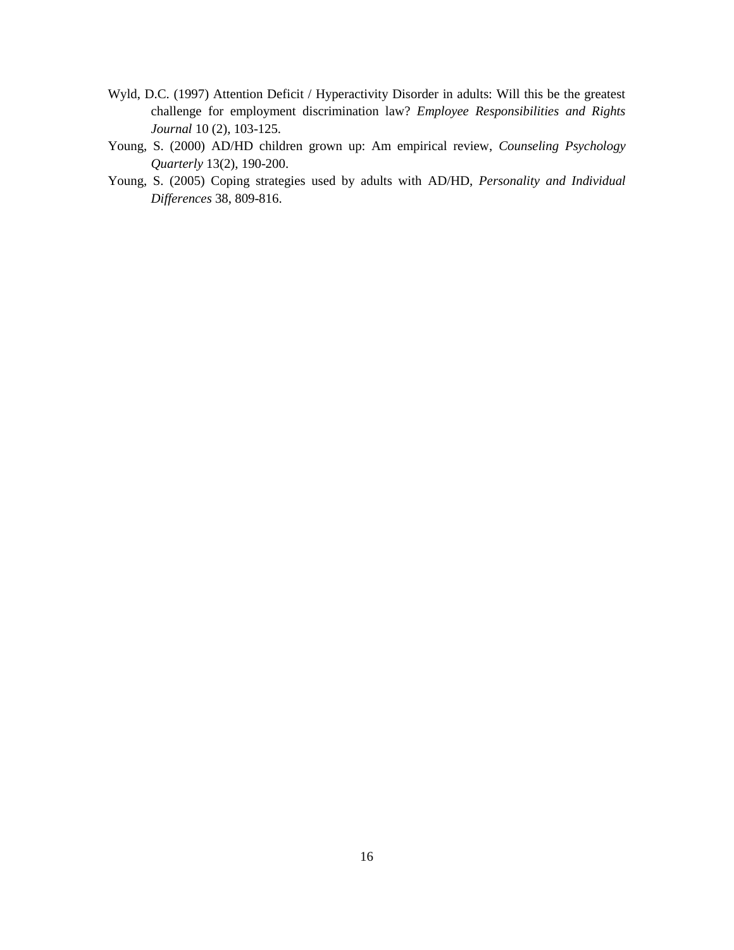- Wyld, D.C. (1997) Attention Deficit / Hyperactivity Disorder in adults: Will this be the greatest challenge for employment discrimination law? *Employee Responsibilities and Rights Journal* 10 (2), 103-125.
- Young, S. (2000) AD/HD children grown up: Am empirical review, *[Counseling Psychology](http://www.tandfonline.com/toc/ccpq20/13/2)  Quarterly* [13\(2\), 190-200.](http://www.tandfonline.com/toc/ccpq20/13/2)
- Young, S. (2005) Coping strategies used by adults with AD/HD, *Personality and Individual Differences* 38, 809-816.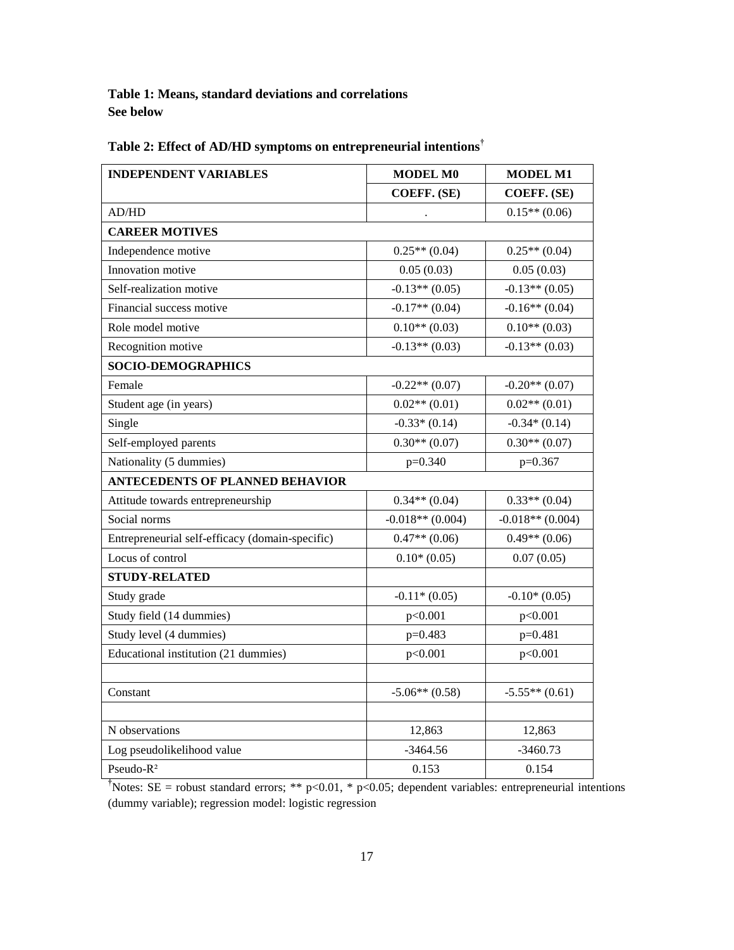**Table 1: Means, standard deviations and correlations See below**

| <b>INDEPENDENT VARIABLES</b>                    | MODEL M0           | <b>MODEL M1</b>    |  |  |  |  |
|-------------------------------------------------|--------------------|--------------------|--|--|--|--|
|                                                 | <b>COEFF. (SE)</b> | COEFF. (SE)        |  |  |  |  |
| AD/HD                                           | $\cdot$            | $0.15**$ (0.06)    |  |  |  |  |
| <b>CAREER MOTIVES</b>                           |                    |                    |  |  |  |  |
| Independence motive                             | $0.25**$ (0.04)    | $0.25**$ (0.04)    |  |  |  |  |
| Innovation motive                               | 0.05(0.03)         | 0.05(0.03)         |  |  |  |  |
| Self-realization motive                         | $-0.13**$ (0.05)   | $-0.13**$ (0.05)   |  |  |  |  |
| Financial success motive                        | $-0.17**$ (0.04)   | $-0.16**$ (0.04)   |  |  |  |  |
| Role model motive                               | $0.10**$ (0.03)    | $0.10**$ (0.03)    |  |  |  |  |
| Recognition motive                              | $-0.13**$ (0.03)   | $-0.13**$ (0.03)   |  |  |  |  |
| SOCIO-DEMOGRAPHICS                              |                    |                    |  |  |  |  |
| Female                                          | $-0.22**$ (0.07)   | $-0.20**$ (0.07)   |  |  |  |  |
| Student age (in years)                          | $0.02**$ (0.01)    | $0.02**$ (0.01)    |  |  |  |  |
| Single                                          | $-0.33*(0.14)$     | $-0.34*(0.14)$     |  |  |  |  |
| Self-employed parents                           | $0.30**$ (0.07)    | $0.30**$ (0.07)    |  |  |  |  |
| Nationality (5 dummies)                         | $p=0.340$          | $p=0.367$          |  |  |  |  |
| <b>ANTECEDENTS OF PLANNED BEHAVIOR</b>          |                    |                    |  |  |  |  |
| Attitude towards entrepreneurship               | $0.34**$ (0.04)    | $0.33**$ (0.04)    |  |  |  |  |
| Social norms                                    | $-0.018**$ (0.004) | $-0.018**$ (0.004) |  |  |  |  |
| Entrepreneurial self-efficacy (domain-specific) | $0.47**$ (0.06)    | $0.49**$ (0.06)    |  |  |  |  |
| Locus of control                                | $0.10*(0.05)$      | 0.07(0.05)         |  |  |  |  |
| <b>STUDY-RELATED</b>                            |                    |                    |  |  |  |  |
| Study grade                                     | $-0.11*(0.05)$     | $-0.10*(0.05)$     |  |  |  |  |
| Study field (14 dummies)                        | p<0.001            | p<0.001            |  |  |  |  |
| Study level (4 dummies)                         | $p=0.483$          | p=0.481            |  |  |  |  |
| Educational institution (21 dummies)            | p<0.001            | p<0.001            |  |  |  |  |
|                                                 |                    |                    |  |  |  |  |
| Constant                                        | $-5.06**$ (0.58)   | $-5.55**$ (0.61)   |  |  |  |  |
|                                                 |                    |                    |  |  |  |  |
| N observations                                  | 12,863             | 12,863             |  |  |  |  |
| Log pseudolikelihood value                      | $-3464.56$         | $-3460.73$         |  |  |  |  |
| Pseudo-R <sup>2</sup>                           | 0.153              | 0.154              |  |  |  |  |

# **Table 2: Effect of AD/HD symptoms on entrepreneurial intentions†**

<sup>†</sup>Notes: SE = robust standard errors; \*\* p<0.01, \* p<0.05; dependent variables: entrepreneurial intentions (dummy variable); regression model: logistic regression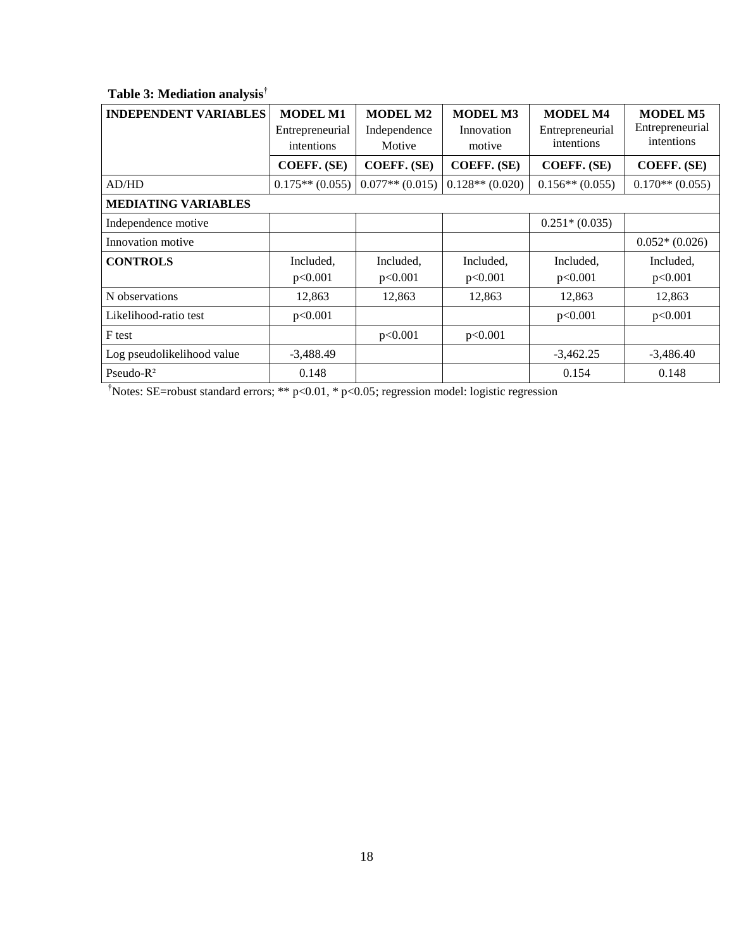| <b>INDEPENDENT VARIABLES</b> | <b>MODEL M1</b><br>Entrepreneurial<br>intentions | <b>MODEL M2</b><br>Independence<br>Motive | <b>MODEL M3</b><br>Innovation<br>motive | <b>MODEL M4</b><br>Entrepreneurial<br>intentions | <b>MODEL M5</b><br>Entrepreneurial<br>intentions |  |  |
|------------------------------|--------------------------------------------------|-------------------------------------------|-----------------------------------------|--------------------------------------------------|--------------------------------------------------|--|--|
|                              | <b>COEFF. (SE)</b>                               | COEFF. (SE)                               | COEFF. (SE)                             | <b>COEFF. (SE)</b>                               | COEFF. (SE)                                      |  |  |
| AD/HD                        | $0.175**$ (0.055)                                | $0.077**$ (0.015)                         | $0.128**$ (0.020)                       | $0.156**$ (0.055)                                | $0.170**$ (0.055)                                |  |  |
| <b>MEDIATING VARIABLES</b>   |                                                  |                                           |                                         |                                                  |                                                  |  |  |
| Independence motive          |                                                  |                                           |                                         | $0.251*(0.035)$                                  |                                                  |  |  |
| Innovation motive            |                                                  |                                           |                                         |                                                  | $0.052*(0.026)$                                  |  |  |
| <b>CONTROLS</b>              | Included,<br>p<0.001                             | Included,<br>p<0.001                      | Included,<br>p<0.001                    | Included,<br>p<0.001                             | Included,<br>p<0.001                             |  |  |
| N observations               | 12,863                                           | 12,863                                    | 12,863                                  | 12,863                                           | 12,863                                           |  |  |
| Likelihood-ratio test        | p<0.001                                          |                                           |                                         | p<0.001                                          | p<0.001                                          |  |  |
| F test                       |                                                  | p<0.001                                   | p<0.001                                 |                                                  |                                                  |  |  |
| Log pseudolikelihood value   | $-3,488.49$                                      |                                           |                                         | $-3,462.25$                                      | $-3,486.40$                                      |  |  |
| Pseudo- $R^2$                | 0.148                                            |                                           |                                         | 0.154                                            | 0.148                                            |  |  |

# **Table 3: Mediation analysis†**

**†**Notes: SE=robust standard errors; \*\* p<0.01, \* p<0.05; regression model: logistic regression